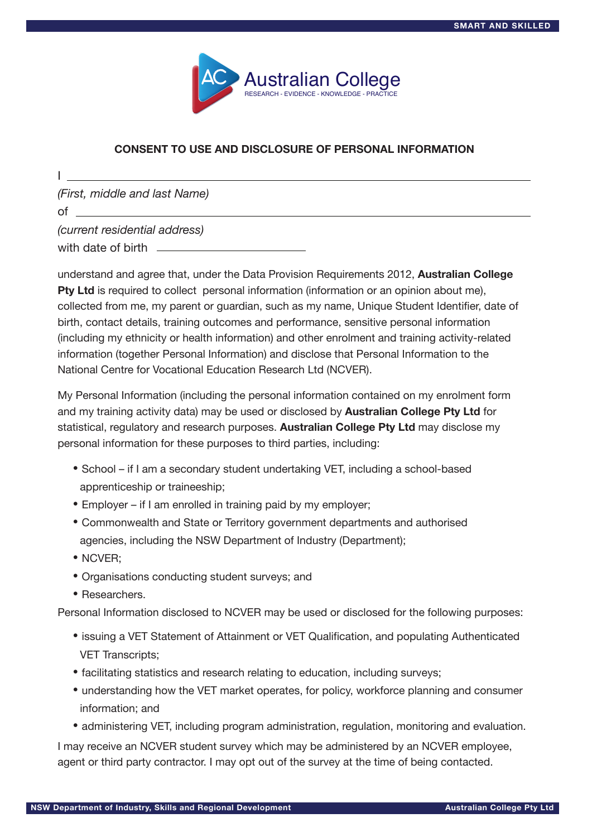

## **CONSENT TO USE AND DISCLOSURE OF PERSONAL INFORMATION**

*(First, middle and last Name)* 

of  $\qquad$ 

I

*(current residential address)* 

with date of birth

understand and agree that, under the Data Provision Requirements 2012, **Australian College Pty Ltd** is required to collect personal information (information or an opinion about me), collected from me, my parent or guardian, such as my name, Unique Student Identifier, date of birth, contact details, training outcomes and performance, sensitive personal information (including my ethnicity or health information) and other enrolment and training activity-related information (together Personal Information) and disclose that Personal Information to the National Centre for Vocational Education Research Ltd (NCVER).

My Personal Information (including the personal information contained on my enrolment form and my training activity data) may be used or disclosed by **Australian College Pty Ltd** for statistical, regulatory and research purposes. **Australian College Pty Ltd** may disclose my personal information for these purposes to third parties, including:

- School if I am a secondary student undertaking VET, including a school-based apprenticeship or traineeship;
- Employer if I am enrolled in training paid by my employer;
- Commonwealth and State or Territory government departments and authorised agencies, including the NSW Department of Industry (Department);
- NCVER;
- Organisations conducting student surveys; and
- Researchers.

Personal Information disclosed to NCVER may be used or disclosed for the following purposes:

- issuing a VET Statement of Attainment or VET Qualification, and populating Authenticated VET Transcripts;
- facilitating statistics and research relating to education, including surveys;
- understanding how the VET market operates, for policy, workforce planning and consumer information; and
- administering VET, including program administration, regulation, monitoring and evaluation.

I may receive an NCVER student survey which may be administered by an NCVER employee, agent or third party contractor. I may opt out of the survey at the time of being contacted.